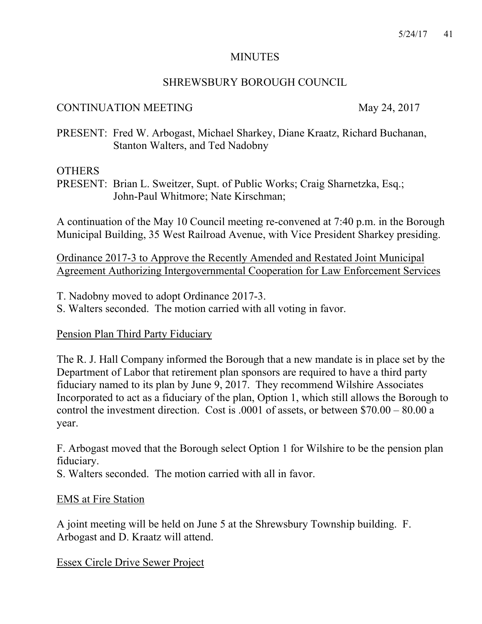### MINUTES

## SHREWSBURY BOROUGH COUNCIL

### CONTINUATION MEETING May 24, 2017

PRESENT: Fred W. Arbogast, Michael Sharkey, Diane Kraatz, Richard Buchanan, Stanton Walters, and Ted Nadobny

### **OTHERS**

PRESENT: Brian L. Sweitzer, Supt. of Public Works; Craig Sharnetzka, Esq.; John-Paul Whitmore; Nate Kirschman;

A continuation of the May 10 Council meeting re-convened at 7:40 p.m. in the Borough Municipal Building, 35 West Railroad Avenue, with Vice President Sharkey presiding.

Ordinance 2017-3 to Approve the Recently Amended and Restated Joint Municipal Agreement Authorizing Intergovernmental Cooperation for Law Enforcement Services

T. Nadobny moved to adopt Ordinance 2017-3.

S. Walters seconded. The motion carried with all voting in favor.

# Pension Plan Third Party Fiduciary

The R. J. Hall Company informed the Borough that a new mandate is in place set by the Department of Labor that retirement plan sponsors are required to have a third party fiduciary named to its plan by June 9, 2017. They recommend Wilshire Associates Incorporated to act as a fiduciary of the plan, Option 1, which still allows the Borough to control the investment direction. Cost is .0001 of assets, or between \$70.00 – 80.00 a year.

F. Arbogast moved that the Borough select Option 1 for Wilshire to be the pension plan fiduciary.

S. Walters seconded. The motion carried with all in favor.

#### EMS at Fire Station

A joint meeting will be held on June 5 at the Shrewsbury Township building. F. Arbogast and D. Kraatz will attend.

# Essex Circle Drive Sewer Project